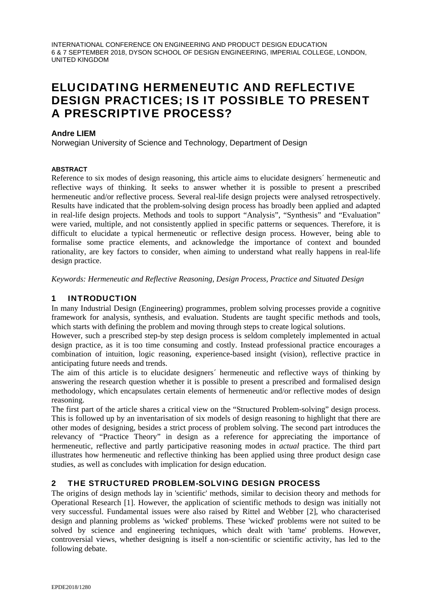INTERNATIONAL CONFERENCE ON ENGINEERING AND PRODUCT DESIGN EDUCATION 6 & 7 SEPTEMBER 2018, DYSON SCHOOL OF DESIGN ENGINEERING, IMPERIAL COLLEGE, LONDON, UNITED KINGDOM

# ELUCIDATING HERMENEUTIC AND REFLECTIVE DESIGN PRACTICES; IS IT POSSIBLE TO PRESENT A PRESCRIPTIVE PROCESS?

#### **Andre LIEM**

Norwegian University of Science and Technology, Department of Design

#### **ABSTRACT**

Reference to six modes of design reasoning, this article aims to elucidate designers´ hermeneutic and reflective ways of thinking. It seeks to answer whether it is possible to present a prescribed hermeneutic and/or reflective process. Several real-life design projects were analysed retrospectively. Results have indicated that the problem-solving design process has broadly been applied and adapted in real-life design projects. Methods and tools to support "Analysis", "Synthesis" and "Evaluation" were varied, multiple, and not consistently applied in specific patterns or sequences. Therefore, it is difficult to elucidate a typical hermeneutic or reflective design process. However, being able to formalise some practice elements, and acknowledge the importance of context and bounded rationality, are key factors to consider, when aiming to understand what really happens in real-life design practice.

*Keywords: Hermeneutic and Reflective Reasoning, Design Process, Practice and Situated Design* 

## 1 INTRODUCTION

In many Industrial Design (Engineering) programmes, problem solving processes provide a cognitive framework for analysis, synthesis, and evaluation. Students are taught specific methods and tools, which starts with defining the problem and moving through steps to create logical solutions.

However, such a prescribed step-by step design process is seldom completely implemented in actual design practice, as it is too time consuming and costly. Instead professional practice encourages a combination of intuition, logic reasoning, experience-based insight (vision), reflective practice in anticipating future needs and trends.

The aim of this article is to elucidate designers´ hermeneutic and reflective ways of thinking by answering the research question whether it is possible to present a prescribed and formalised design methodology, which encapsulates certain elements of hermeneutic and/or reflective modes of design reasoning.

The first part of the article shares a critical view on the "Structured Problem-solving" design process. This is followed up by an inventarisation of six models of design reasoning to highlight that there are other modes of designing, besides a strict process of problem solving. The second part introduces the relevancy of "Practice Theory" in design as a reference for appreciating the importance of hermeneutic, reflective and partly participative reasoning modes in *actual* practice. The third part illustrates how hermeneutic and reflective thinking has been applied using three product design case studies, as well as concludes with implication for design education.

## 2 THE STRUCTURED PROBLEM-SOLVING DESIGN PROCESS

The origins of design methods lay in 'scientific' methods, similar to decision theory and methods for Operational Research [1]. However, the application of scientific methods to design was initially not very successful. Fundamental issues were also raised by Rittel and Webber [2], who characterised design and planning problems as 'wicked' problems. These 'wicked' problems were not suited to be solved by science and engineering techniques, which dealt with 'tame' problems. However, controversial views, whether designing is itself a non-scientific or scientific activity, has led to the following debate.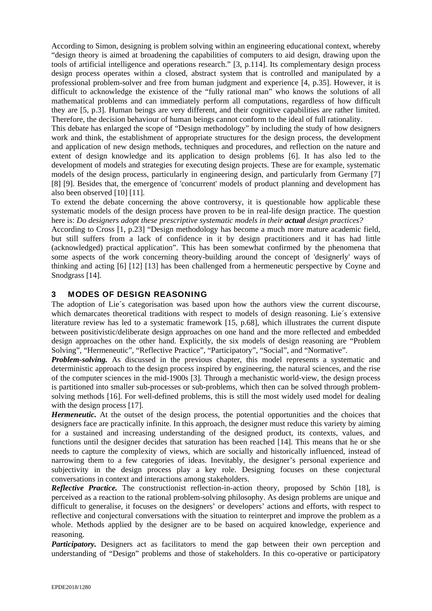According to Simon, designing is problem solving within an engineering educational context, whereby "design theory is aimed at broadening the capabilities of computers to aid design, drawing upon the tools of artificial intelligence and operations research." [3, p.114]. Its complementary design process design process operates within a closed, abstract system that is controlled and manipulated by a professional problem-solver and free from human judgment and experience [4, p.35]. However, it is difficult to acknowledge the existence of the "fully rational man" who knows the solutions of all mathematical problems and can immediately perform all computations, regardless of how difficult they are [5, p.3]. Human beings are very different, and their cognitive capabilities are rather limited. Therefore, the decision behaviour of human beings cannot conform to the ideal of full rationality.

This debate has enlarged the scope of "Design methodology" by including the study of how designers work and think, the establishment of appropriate structures for the design process, the development and application of new design methods, techniques and procedures, and reflection on the nature and extent of design knowledge and its application to design problems [6]. It has also led to the development of models and strategies for executing design projects. These are for example, systematic models of the design process, particularly in engineering design, and particularly from Germany [7] [8] [9]. Besides that, the emergence of 'concurrent' models of product planning and development has also been observed [10] [11].

To extend the debate concerning the above controversy, it is questionable how applicable these systematic models of the design process have proven to be in real-life design practice. The question here is: *Do designers adopt these prescriptive systematic models in their <i>actual design practices?* 

According to Cross [1, p.23] "Design methodology has become a much more mature academic field, but still suffers from a lack of confidence in it by design practitioners and it has had little (acknowledged) practical application". This has been somewhat confirmed by the phenomena that some aspects of the work concerning theory-building around the concept of 'designerly' ways of thinking and acting [6] [12] [13] has been challenged from a hermeneutic perspective by Coyne and Snodgrass [14].

## 3 MODES OF DESIGN REASONING

The adoption of Lie´s categorisation was based upon how the authors view the current discourse, which demarcates theoretical traditions with respect to models of design reasoning. Lie´s extensive literature review has led to a systematic framework [15, p.68], which illustrates the current dispute between positivistic/deliberate design approaches on one hand and the more reflected and embedded design approaches on the other hand. Explicitly, the six models of design reasoning are "Problem Solving", "Hermeneutic", "Reflective Practice", "Participatory", "Social", and "Normative".

*Problem-solving.* As discussed in the previous chapter, this model represents a systematic and deterministic approach to the design process inspired by engineering, the natural sciences, and the rise of the computer sciences in the mid-1900s [3]. Through a mechanistic world-view, the design process is partitioned into smaller sub-processes or sub-problems, which then can be solved through problemsolving methods [16]. For well-defined problems, this is still the most widely used model for dealing with the design process [17].

*Hermeneutic.* At the outset of the design process, the potential opportunities and the choices that designers face are practically infinite. In this approach, the designer must reduce this variety by aiming for a sustained and increasing understanding of the designed product, its contexts, values, and functions until the designer decides that saturation has been reached [14]. This means that he or she needs to capture the complexity of views, which are socially and historically influenced, instead of narrowing them to a few categories of ideas. Inevitably, the designer's personal experience and subjectivity in the design process play a key role. Designing focuses on these conjectural conversations in context and interactions among stakeholders.

*Reflective Practice*. The constructionist reflection-in-action theory, proposed by Schön [18], is perceived as a reaction to the rational problem-solving philosophy. As design problems are unique and difficult to generalise, it focuses on the designers' or developers' actions and efforts, with respect to reflective and conjectural conversations with the situation to reinterpret and improve the problem as a whole. Methods applied by the designer are to be based on acquired knowledge, experience and reasoning.

*Participatory.* Designers act as facilitators to mend the gap between their own perception and understanding of "Design" problems and those of stakeholders. In this co-operative or participatory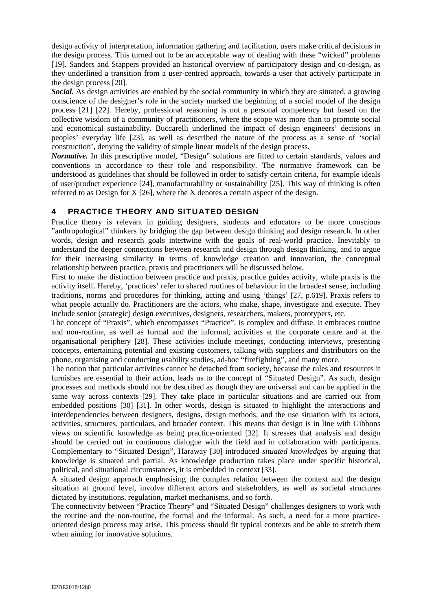design activity of interpretation, information gathering and facilitation, users make critical decisions in the design process. This turned out to be an acceptable way of dealing with these "wicked" problems [19]. Sanders and Stappers provided an historical overview of participatory design and co-design, as they underlined a transition from a user-centred approach, towards a user that actively participate in the design process [20].

*Social.* As design activities are enabled by the social community in which they are situated, a growing conscience of the designer's role in the society marked the beginning of a social model of the design process [21] [22]. Hereby, professional reasoning is not a personal competency but based on the collective wisdom of a community of practitioners, where the scope was more than to promote social and economical sustainability. Buccarelli underlined the impact of design engineers' decisions in peoples' everyday life [23], as well as described the nature of the process as a sense of 'social construction', denying the validity of simple linear models of the design process.

*Normative.* In this prescriptive model, "Design" solutions are fitted to certain standards, values and conventions in accordance to their role and responsibility. The normative framework can be understood as guidelines that should be followed in order to satisfy certain criteria, for example ideals of user/product experience [24], manufacturability or sustainability [25]. This way of thinking is often referred to as Design for X [26], where the X denotes a certain aspect of the design.

## 4 PRACTICE THEORY AND SITUATED DESIGN

Practice theory is relevant in guiding designers, students and educators to be more conscious "anthropological" thinkers by bridging the gap between design thinking and design research. In other words, design and research goals intertwine with the goals of real-world practice. Inevitably to understand the deeper connections between research and design through design thinking, and to argue for their increasing similarity in terms of knowledge creation and innovation, the conceptual relationship between practice, praxis and practitioners will be discussed below.

First to make the distinction between practice and praxis, practice guides activity, while praxis is the activity itself. Hereby, 'practices' refer to shared routines of behaviour in the broadest sense, including traditions, norms and procedures for thinking, acting and using 'things' [27, p.619]. Praxis refers to what people actually do. Practitioners are the actors, who make, shape, investigate and execute. They include senior (strategic) design executives, designers, researchers, makers, prototypers, etc.

The concept of "Praxis", which encompasses "Practice", is complex and diffuse. It embraces routine and non-routine, as well as formal and the informal, activities at the corporate centre and at the organisational periphery [28]. These activities include meetings, conducting interviews, presenting concepts, entertaining potential and existing customers, talking with suppliers and distributors on the phone, organising and conducting usability studies, ad-hoc "firefighting", and many more.

The notion that particular activities cannot be detached from society, because the rules and resources it furnishes are essential to their action, leads us to the concept of "Situated Design". As such, design processes and methods should not be described as though they are universal and can be applied in the same way across contexts [29]. They take place in particular situations and are carried out from embedded positions [30] [31]. In other words, design is situated to highlight the interactions and interdependencies between designers, designs, design methods, and the use situation with its actors, activities, structures, particulars, and broader context. This means that design is in line with Gibbons views on scientific knowledge as being practice-oriented [32]. It stresses that analysis and design should be carried out in continuous dialogue with the field and in collaboration with participants. Complementary to "Situated Design", Haraway [30] introduced *situated knowledges* by arguing that knowledge is situated and partial. As knowledge production takes place under specific historical, political, and situational circumstances, it is embedded in context [33].

A situated design approach emphasising the complex relation between the context and the design situation at ground level, involve different actors and stakeholders, as well as societal structures dictated by institutions, regulation, market mechanisms, and so forth.

The connectivity between "Practice Theory" and "Situated Design" challenges designers to work with the routine and the non-routine, the formal and the informal. As such, a need for a more practiceoriented design process may arise. This process should fit typical contexts and be able to stretch them when aiming for innovative solutions.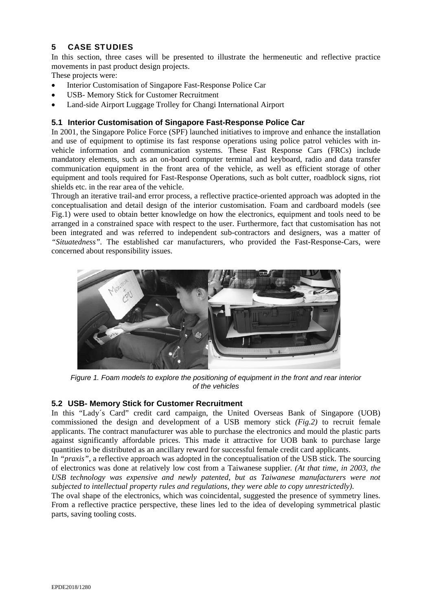# 5 CASE STUDIES

In this section, three cases will be presented to illustrate the hermeneutic and reflective practice movements in past product design projects.

These projects were:

- Interior Customisation of Singapore Fast-Response Police Car
- USB- Memory Stick for Customer Recruitment
- Land-side Airport Luggage Trolley for Changi International Airport

## **5.1 Interior Customisation of Singapore Fast-Response Police Car**

In 2001, the Singapore Police Force (SPF) launched initiatives to improve and enhance the installation and use of equipment to optimise its fast response operations using police patrol vehicles with invehicle information and communication systems. These Fast Response Cars (FRCs) include mandatory elements, such as an on-board computer terminal and keyboard, radio and data transfer communication equipment in the front area of the vehicle, as well as efficient storage of other equipment and tools required for Fast-Response Operations, such as bolt cutter, roadblock signs, riot shields etc. in the rear area of the vehicle.

Through an iterative trail-and error process, a reflective practice-oriented approach was adopted in the conceptualisation and detail design of the interior customisation. Foam and cardboard models (see Fig.1) were used to obtain better knowledge on how the electronics, equipment and tools need to be arranged in a constrained space with respect to the user. Furthermore, fact that customisation has not been integrated and was referred to independent sub-contractors and designers, was a matter of *"Situatedness".* The established car manufacturers, who provided the Fast-Response-Cars, were concerned about responsibility issues.



*Figure 1. Foam models to explore the positioning of equipment in the front and rear interior of the vehicles* 

## **5.2 USB- Memory Stick for Customer Recruitment**

In this "Lady´s Card" credit card campaign, the United Overseas Bank of Singapore (UOB) commissioned the design and development of a USB memory stick *(Fig.2)* to recruit female applicants. The contract manufacturer was able to purchase the electronics and mould the plastic parts against significantly affordable prices. This made it attractive for UOB bank to purchase large quantities to be distributed as an ancillary reward for successful female credit card applicants.

In *"praxis"*, a reflective approach was adopted in the conceptualisation of the USB stick. The sourcing of electronics was done at relatively low cost from a Taiwanese supplier*. (At that time, in 2003, the USB technology was expensive and newly patented, but as Taiwanese manufacturers were not subjected to intellectual property rules and regulations, they were able to copy unrestrictedly).* 

The oval shape of the electronics, which was coincidental, suggested the presence of symmetry lines. From a reflective practice perspective, these lines led to the idea of developing symmetrical plastic parts, saving tooling costs.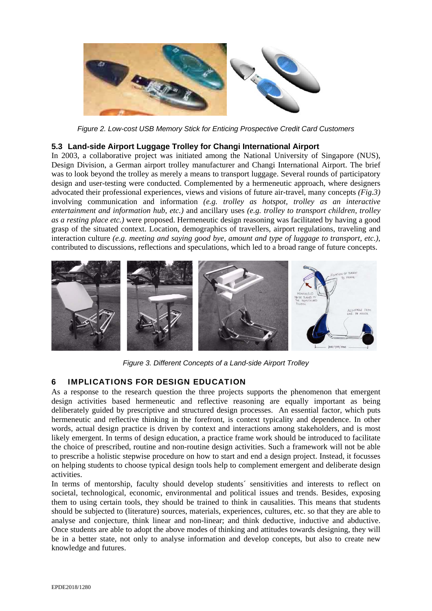

*Figure 2. Low-cost USB Memory Stick for Enticing Prospective Credit Card Customers* 

## **5.3 Land-side Airport Luggage Trolley for Changi International Airport**

In 2003, a collaborative project was initiated among the National University of Singapore (NUS), Design Division, a German airport trolley manufacturer and Changi International Airport. The brief was to look beyond the trolley as merely a means to transport luggage. Several rounds of participatory design and user-testing were conducted. Complemented by a hermeneutic approach, where designers advocated their professional experiences, views and visions of future air-travel, many concepts *(Fig.3)* involving communication and information *(e.g. trolley as hotspot, trolley as an interactive entertainment and information hub, etc.)* and ancillary uses *(e.g. trolley to transport children, trolley as a resting place etc.)* were proposed. Hermeneutic design reasoning was facilitated by having a good grasp of the situated context. Location, demographics of travellers, airport regulations, traveling and interaction culture *(e.g. meeting and saying good bye, amount and type of luggage to transport, etc.)*, contributed to discussions, reflections and speculations, which led to a broad range of future concepts.



*Figure 3. Different Concepts of a Land-side Airport Trolley* 

## 6 IMPLICATIONS FOR DESIGN EDUCATION

As a response to the research question the three projects supports the phenomenon that emergent design activities based hermeneutic and reflective reasoning are equally important as being deliberately guided by prescriptive and structured design processes. An essential factor, which puts hermeneutic and reflective thinking in the forefront, is context typicality and dependence. In other words, actual design practice is driven by context and interactions among stakeholders, and is most likely emergent. In terms of design education, a practice frame work should be introduced to facilitate the choice of prescribed, routine and non-routine design activities. Such a framework will not be able to prescribe a holistic stepwise procedure on how to start and end a design project. Instead, it focusses on helping students to choose typical design tools help to complement emergent and deliberate design activities.

In terms of mentorship, faculty should develop students´ sensitivities and interests to reflect on societal, technological, economic, environmental and political issues and trends. Besides, exposing them to using certain tools, they should be trained to think in causalities. This means that students should be subjected to (literature) sources, materials, experiences, cultures, etc. so that they are able to analyse and conjecture, think linear and non-linear; and think deductive, inductive and abductive. Once students are able to adopt the above modes of thinking and attitudes towards designing, they will be in a better state, not only to analyse information and develop concepts, but also to create new knowledge and futures.